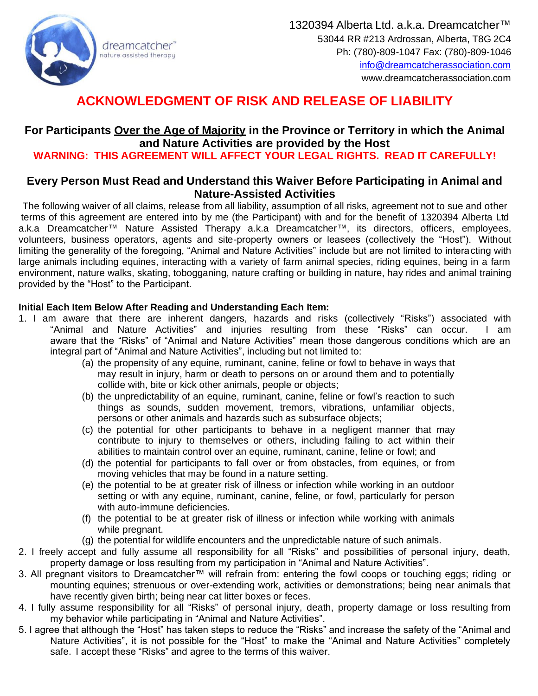

# **ACKNOWLEDGMENT OF RISK AND RELEASE OF LIABILITY**

## **For Participants Over the Age of Majority in the Province or Territory in which the Animal and Nature Activities are provided by the Host**

### **WARNING: THIS AGREEMENT WILL AFFECT YOUR LEGAL RIGHTS. READ IT CAREFULLY!**

#### **Every Person Must Read and Understand this Waiver Before Participating in Animal and Nature-Assisted Activities**

The following waiver of all claims, release from all liability, assumption of all risks, agreement not to sue and other terms of this agreement are entered into by me (the Participant) with and for the benefit of 1320394 Alberta Ltd a.k.a Dreamcatcher™ Nature Assisted Therapy a.k.a Dreamcatcher™, its directors, officers, employees, volunteers, business operators, agents and site-property owners or leasees (collectively the "Host"). Without limiting the generality of the foregoing, "Animal and Nature Activities" include but are not limited to interacting with large animals including equines, interacting with a variety of farm animal species, riding equines, being in a farm environment, nature walks, skating, tobogganing, nature crafting or building in nature, hay rides and animal training provided by the "Host" to the Participant.

#### **Initial Each Item Below After Reading and Understanding Each Item:**

- 1. I am aware that there are inherent dangers, hazards and risks (collectively "Risks") associated with "Animal and Nature Activities" and injuries resulting from these "Risks" can occur. I am aware that the "Risks" of "Animal and Nature Activities" mean those dangerous conditions which are an integral part of "Animal and Nature Activities", including but not limited to:
	- (a) the propensity of any equine, ruminant, canine, feline or fowl to behave in ways that may result in injury, harm or death to persons on or around them and to potentially collide with, bite or kick other animals, people or objects;
	- (b) the unpredictability of an equine, ruminant, canine, feline or fowl's reaction to such things as sounds, sudden movement, tremors, vibrations, unfamiliar objects, persons or other animals and hazards such as subsurface objects;
	- (c) the potential for other participants to behave in a negligent manner that may contribute to injury to themselves or others, including failing to act within their abilities to maintain control over an equine, ruminant, canine, feline or fowl; and
	- (d) the potential for participants to fall over or from obstacles, from equines, or from moving vehicles that may be found in a nature setting.
	- (e) the potential to be at greater risk of illness or infection while working in an outdoor setting or with any equine, ruminant, canine, feline, or fowl, particularly for person with auto-immune deficiencies.
	- (f) the potential to be at greater risk of illness or infection while working with animals while pregnant.
	- (g) the potential for wildlife encounters and the unpredictable nature of such animals.
- 2. I freely accept and fully assume all responsibility for all "Risks" and possibilities of personal injury, death, property damage or loss resulting from my participation in "Animal and Nature Activities".
- 3. All pregnant visitors to Dreamcatcher™ will refrain from: entering the fowl coops or touching eggs; riding or mounting equines; strenuous or over-extending work, activities or demonstrations; being near animals that have recently given birth; being near cat litter boxes or feces.
- 4. I fully assume responsibility for all "Risks" of personal injury, death, property damage or loss resulting from my behavior while participating in "Animal and Nature Activities".
- 5. I agree that although the "Host" has taken steps to reduce the "Risks" and increase the safety of the "Animal and Nature Activities", it is not possible for the "Host" to make the "Animal and Nature Activities" completely safe. I accept these "Risks" and agree to the terms of this waiver.